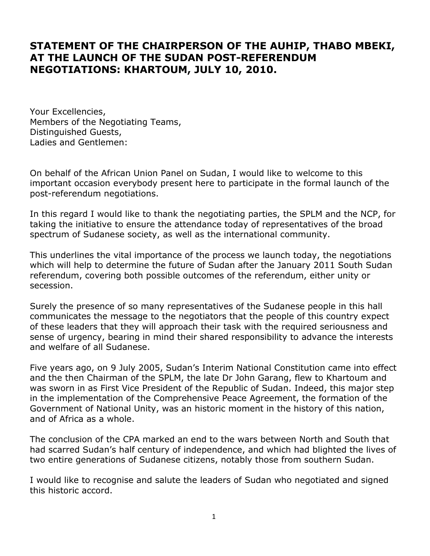## **STATEMENT OF THE CHAIRPERSON OF THE AUHIP, THABO MBEKI, AT THE LAUNCH OF THE SUDAN POST-REFERENDUM NEGOTIATIONS: KHARTOUM, JULY 10, 2010.**

Your Excellencies, Members of the Negotiating Teams, Distinguished Guests, Ladies and Gentlemen:

On behalf of the African Union Panel on Sudan, I would like to welcome to this important occasion everybody present here to participate in the formal launch of the post-referendum negotiations.

In this regard I would like to thank the negotiating parties, the SPLM and the NCP, for taking the initiative to ensure the attendance today of representatives of the broad spectrum of Sudanese society, as well as the international community.

This underlines the vital importance of the process we launch today, the negotiations which will help to determine the future of Sudan after the January 2011 South Sudan referendum, covering both possible outcomes of the referendum, either unity or secession.

Surely the presence of so many representatives of the Sudanese people in this hall communicates the message to the negotiators that the people of this country expect of these leaders that they will approach their task with the required seriousness and sense of urgency, bearing in mind their shared responsibility to advance the interests and welfare of all Sudanese.

Five years ago, on 9 July 2005, Sudan's Interim National Constitution came into effect and the then Chairman of the SPLM, the late Dr John Garang, flew to Khartoum and was sworn in as First Vice President of the Republic of Sudan. Indeed, this major step in the implementation of the Comprehensive Peace Agreement, the formation of the Government of National Unity, was an historic moment in the history of this nation, and of Africa as a whole.

The conclusion of the CPA marked an end to the wars between North and South that had scarred Sudan's half century of independence, and which had blighted the lives of two entire generations of Sudanese citizens, notably those from southern Sudan.

I would like to recognise and salute the leaders of Sudan who negotiated and signed this historic accord.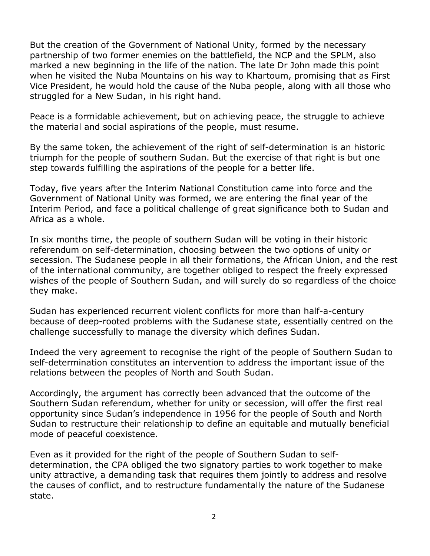But the creation of the Government of National Unity, formed by the necessary partnership of two former enemies on the battlefield, the NCP and the SPLM, also marked a new beginning in the life of the nation. The late Dr John made this point when he visited the Nuba Mountains on his way to Khartoum, promising that as First Vice President, he would hold the cause of the Nuba people, along with all those who struggled for a New Sudan, in his right hand.

Peace is a formidable achievement, but on achieving peace, the struggle to achieve the material and social aspirations of the people, must resume.

By the same token, the achievement of the right of self-determination is an historic triumph for the people of southern Sudan. But the exercise of that right is but one step towards fulfilling the aspirations of the people for a better life.

Today, five years after the Interim National Constitution came into force and the Government of National Unity was formed, we are entering the final year of the Interim Period, and face a political challenge of great significance both to Sudan and Africa as a whole.

In six months time, the people of southern Sudan will be voting in their historic referendum on self-determination, choosing between the two options of unity or secession. The Sudanese people in all their formations, the African Union, and the rest of the international community, are together obliged to respect the freely expressed wishes of the people of Southern Sudan, and will surely do so regardless of the choice they make.

Sudan has experienced recurrent violent conflicts for more than half-a-century because of deep-rooted problems with the Sudanese state, essentially centred on the challenge successfully to manage the diversity which defines Sudan.

Indeed the very agreement to recognise the right of the people of Southern Sudan to self-determination constitutes an intervention to address the important issue of the relations between the peoples of North and South Sudan.

Accordingly, the argument has correctly been advanced that the outcome of the Southern Sudan referendum, whether for unity or secession, will offer the first real opportunity since Sudan's independence in 1956 for the people of South and North Sudan to restructure their relationship to define an equitable and mutually beneficial mode of peaceful coexistence.

Even as it provided for the right of the people of Southern Sudan to selfdetermination, the CPA obliged the two signatory parties to work together to make unity attractive, a demanding task that requires them jointly to address and resolve the causes of conflict, and to restructure fundamentally the nature of the Sudanese state.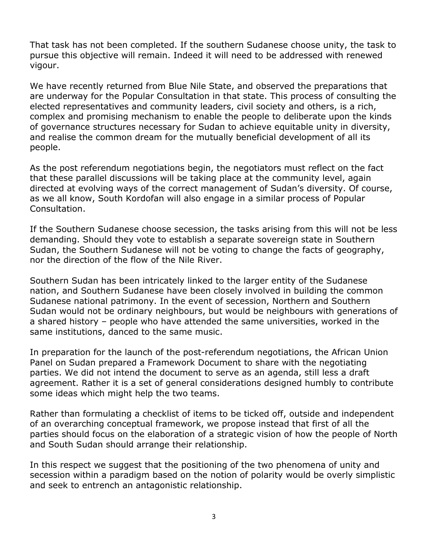That task has not been completed. If the southern Sudanese choose unity, the task to pursue this objective will remain. Indeed it will need to be addressed with renewed vigour.

We have recently returned from Blue Nile State, and observed the preparations that are underway for the Popular Consultation in that state. This process of consulting the elected representatives and community leaders, civil society and others, is a rich, complex and promising mechanism to enable the people to deliberate upon the kinds of governance structures necessary for Sudan to achieve equitable unity in diversity, and realise the common dream for the mutually beneficial development of all its people.

As the post referendum negotiations begin, the negotiators must reflect on the fact that these parallel discussions will be taking place at the community level, again directed at evolving ways of the correct management of Sudan's diversity. Of course, as we all know, South Kordofan will also engage in a similar process of Popular Consultation.

If the Southern Sudanese choose secession, the tasks arising from this will not be less demanding. Should they vote to establish a separate sovereign state in Southern Sudan, the Southern Sudanese will not be voting to change the facts of geography, nor the direction of the flow of the Nile River.

Southern Sudan has been intricately linked to the larger entity of the Sudanese nation, and Southern Sudanese have been closely involved in building the common Sudanese national patrimony. In the event of secession, Northern and Southern Sudan would not be ordinary neighbours, but would be neighbours with generations of a shared history – people who have attended the same universities, worked in the same institutions, danced to the same music.

In preparation for the launch of the post-referendum negotiations, the African Union Panel on Sudan prepared a Framework Document to share with the negotiating parties. We did not intend the document to serve as an agenda, still less a draft agreement. Rather it is a set of general considerations designed humbly to contribute some ideas which might help the two teams.

Rather than formulating a checklist of items to be ticked off, outside and independent of an overarching conceptual framework, we propose instead that first of all the parties should focus on the elaboration of a strategic vision of how the people of North and South Sudan should arrange their relationship.

In this respect we suggest that the positioning of the two phenomena of unity and secession within a paradigm based on the notion of polarity would be overly simplistic and seek to entrench an antagonistic relationship.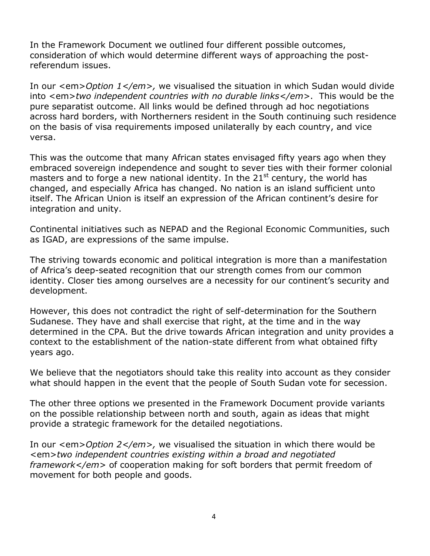In the Framework Document we outlined four different possible outcomes, consideration of which would determine different ways of approaching the postreferendum issues.

In our <em>*Option 1</em>,* we visualised the situation in which Sudan would divide into <em>*two independent countries with no durable links</em>*. This would be the pure separatist outcome. All links would be defined through ad hoc negotiations across hard borders, with Northerners resident in the South continuing such residence on the basis of visa requirements imposed unilaterally by each country, and vice versa.

This was the outcome that many African states envisaged fifty years ago when they embraced sovereign independence and sought to sever ties with their former colonial masters and to forge a new national identity. In the  $21<sup>st</sup>$  century, the world has changed, and especially Africa has changed. No nation is an island sufficient unto itself. The African Union is itself an expression of the African continent's desire for integration and unity.

Continental initiatives such as NEPAD and the Regional Economic Communities, such as IGAD, are expressions of the same impulse.

The striving towards economic and political integration is more than a manifestation of Africa's deep-seated recognition that our strength comes from our common identity. Closer ties among ourselves are a necessity for our continent's security and development.

However, this does not contradict the right of self-determination for the Southern Sudanese. They have and shall exercise that right, at the time and in the way determined in the CPA. But the drive towards African integration and unity provides a context to the establishment of the nation-state different from what obtained fifty years ago.

We believe that the negotiators should take this reality into account as they consider what should happen in the event that the people of South Sudan vote for secession.

The other three options we presented in the Framework Document provide variants on the possible relationship between north and south, again as ideas that might provide a strategic framework for the detailed negotiations.

In our <em>Option 2</em>, we visualised the situation in which there would be <em>*two independent countries existing within a broad and negotiated framework</em>* of cooperation making for soft borders that permit freedom of movement for both people and goods.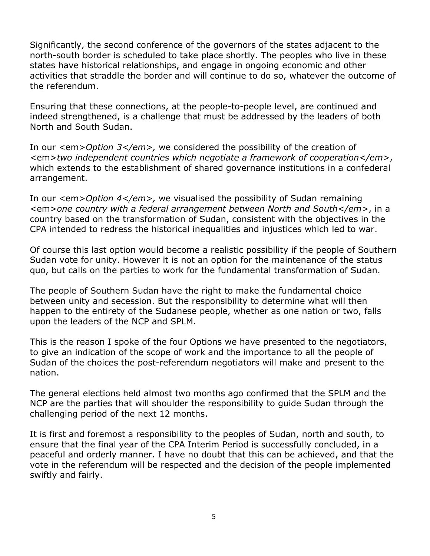Significantly, the second conference of the governors of the states adjacent to the north-south border is scheduled to take place shortly. The peoples who live in these states have historical relationships, and engage in ongoing economic and other activities that straddle the border and will continue to do so, whatever the outcome of the referendum.

Ensuring that these connections, at the people-to-people level, are continued and indeed strengthened, is a challenge that must be addressed by the leaders of both North and South Sudan.

In our <em>Option 3</em>, we considered the possibility of the creation of <em>*two independent countries which negotiate a framework of cooperation</em>*, which extends to the establishment of shared governance institutions in a confederal arrangement.

In our <em>*Option 4</em>,* we visualised the possibility of Sudan remaining <em>*one country with a federal arrangement between North and South</em>*, in a country based on the transformation of Sudan, consistent with the objectives in the CPA intended to redress the historical inequalities and injustices which led to war.

Of course this last option would become a realistic possibility if the people of Southern Sudan vote for unity. However it is not an option for the maintenance of the status quo, but calls on the parties to work for the fundamental transformation of Sudan.

The people of Southern Sudan have the right to make the fundamental choice between unity and secession. But the responsibility to determine what will then happen to the entirety of the Sudanese people, whether as one nation or two, falls upon the leaders of the NCP and SPLM.

This is the reason I spoke of the four Options we have presented to the negotiators, to give an indication of the scope of work and the importance to all the people of Sudan of the choices the post-referendum negotiators will make and present to the nation.

The general elections held almost two months ago confirmed that the SPLM and the NCP are the parties that will shoulder the responsibility to guide Sudan through the challenging period of the next 12 months.

It is first and foremost a responsibility to the peoples of Sudan, north and south, to ensure that the final year of the CPA Interim Period is successfully concluded, in a peaceful and orderly manner. I have no doubt that this can be achieved, and that the vote in the referendum will be respected and the decision of the people implemented swiftly and fairly.